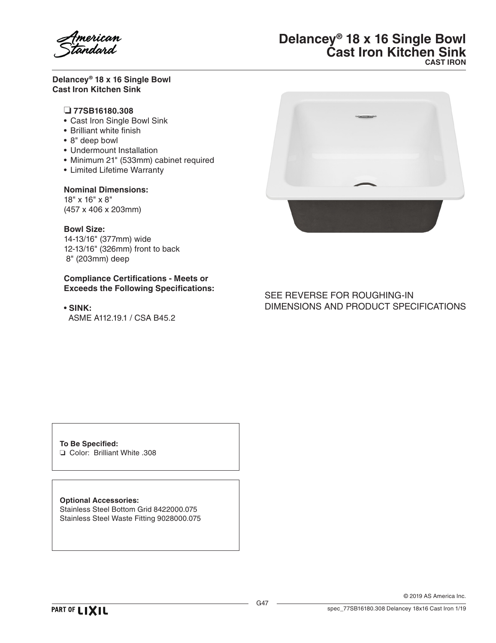

### **Delancey® 18 x 16 Single Bowl Cast Iron Kitchen Sink**

## ❏ **77SB16180.308**

- Cast Iron Single Bowl Sink
- Brilliant white finish
- 8" deep bowl
- Undermount Installation
- • Minimum 21" (533mm) cabinet required
- • Limited Lifetime Warranty

## **Nominal Dimensions:**

18" x 16" x 8" (457 x 406 x 203mm)

#### **Bowl Size:**

14-13/16" (377mm) wide 12-13/16" (326mm) front to back 8" (203mm) deep

#### **Compliance Certifications - Meets or Exceeds the Following Specifications:**

• **SINK:** ASME A112.19.1 / CSA B45.2

## **Delancey® 18 x 16 Single Bowl Cast Iron Kitchen Sink CAST IRON**



# SEE REVERSE FOR ROUGHING-IN DIMENSIONS AND PRODUCT SPECIFICATIONS

**To Be Specified:** ❏ Color: Brilliant White .308

**Optional Accessories:** Stainless Steel Bottom Grid 8422000.075 Stainless Steel Waste Fitting 9028000.075